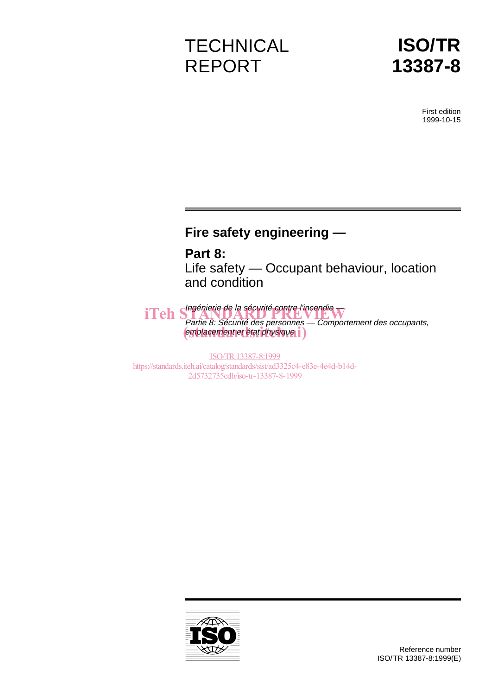# **TECHNICAL** REPORT

# **ISO/TR 13387-8**

First edition 1999-10-15

# **Fire safety engineering —**

**Part 8:** Life safety — Occupant behaviour, location and condition

iTeh Shagénierie de la sécurité contre l'incendie Partie 8: Sécurité des personnes — Comportement des occupants, emplacement et état physique i

ISO/TR13387-8:1999 https://standards.iteh.ai/catalog/standards/sist/ad3325c4-e83e-4e4d-b14d-2d5732735edb/iso-tr-13387-8-1999

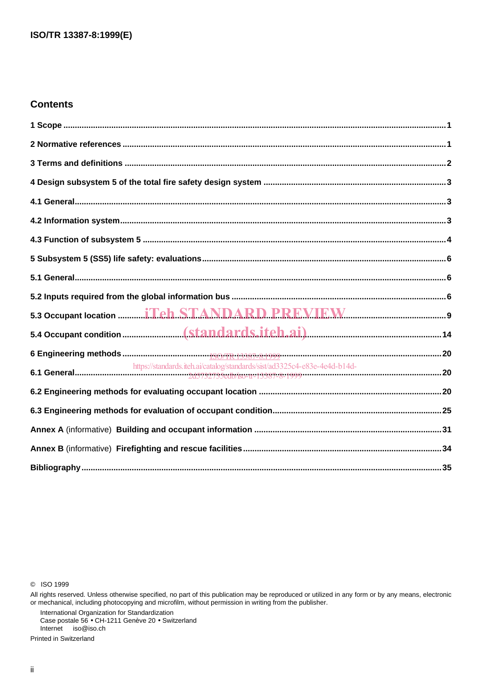# **Contents**

| https://standards.iteh.ai/catalog/standards/sist/ad3325c4-e83e-4e4d-b14d- |  |
|---------------------------------------------------------------------------|--|
|                                                                           |  |
|                                                                           |  |
|                                                                           |  |
|                                                                           |  |
|                                                                           |  |

C ISO 1999

International Organization for Standardization<br>Case postale 56 • CH-1211 Genève 20 • Switzerland Internet iso@iso.ch

Printed in Switzerland

All rights reserved. Unless otherwise specified, no part of this publication may be reproduced or utilized in any form or by any means, electronic<br>or mechanical, including photocopying and microfilm, without permission in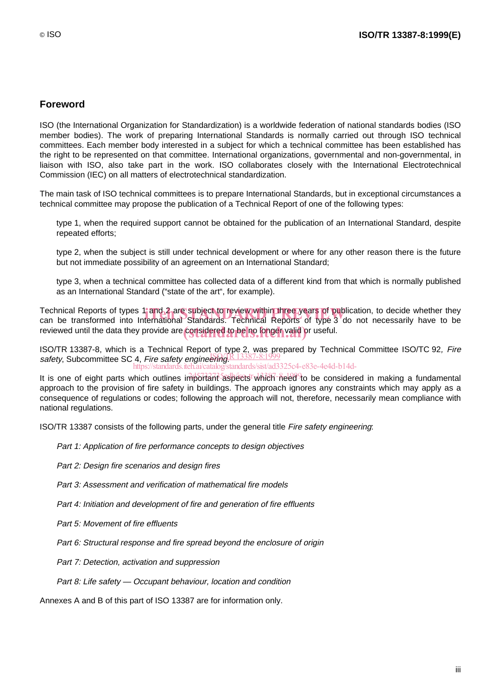# **Foreword**

ISO (the International Organization for Standardization) is a worldwide federation of national standards bodies (ISO member bodies). The work of preparing International Standards is normally carried out through ISO technical committees. Each member body interested in a subject for which a technical committee has been established has the right to be represented on that committee. International organizations, governmental and non-governmental, in liaison with ISO, also take part in the work. ISO collaborates closely with the International Electrotechnical Commission (IEC) on all matters of electrotechnical standardization.

The main task of ISO technical committees is to prepare International Standards, but in exceptional circumstances a technical committee may propose the publication of a Technical Report of one of the following types:

- type 1, when the required support cannot be obtained for the publication of an International Standard, despite repeated efforts;
- type 2, when the subject is still under technical development or where for any other reason there is the future but not immediate possibility of an agreement on an International Standard;
- type 3, when a technical committee has collected data of a different kind from that which is normally published as an International Standard ("state of the art", for example).

Technical Reports of types 1 and 2 are subject to review within three years of publication, to decide whether they<br>can be transformed into International Standards. Technical Reports of type 3 do not necessarily have to be can be transformed into International Standards. Technical Reports of type 3 do not necessarily have to be reviewed until the data they provide are considered to be no longer valid or useful.

ISO/TR 13387-8, which is a Technical Report of type 2, was prepared by Technical Committee ISO/TC 92, Fire safety, Subcommittee SC 4, Fire safety engineering R 13387-8:1999 https://standards.iteh.ai/catalog/standards/sist/ad3325c4-e83e-4e4d-b14d-

It is one of eight parts which outlines important aspects which need to be considered in making a fundamental approach to the provision of fire safety in buildings. The approach ignores any constraints which may apply as a consequence of regulations or codes; following the approach will not, therefore, necessarily mean compliance with national regulations.

ISO/TR 13387 consists of the following parts, under the general title Fire safety engineering:

- Part 1: Application of fire performance concepts to design objectives
- Part 2: Design fire scenarios and design fires
- Part 3: Assessment and verification of mathematical fire models
- Part 4: Initiation and development of fire and generation of fire effluents
- Part 5: Movement of fire effluents
- $-$  Part 6: Structural response and fire spread beyond the enclosure of origin
- Part 7: Detection, activation and suppression
- $-$  Part 8: Life safety Occupant behaviour, location and condition

Annexes A and B of this part of ISO 13387 are for information only.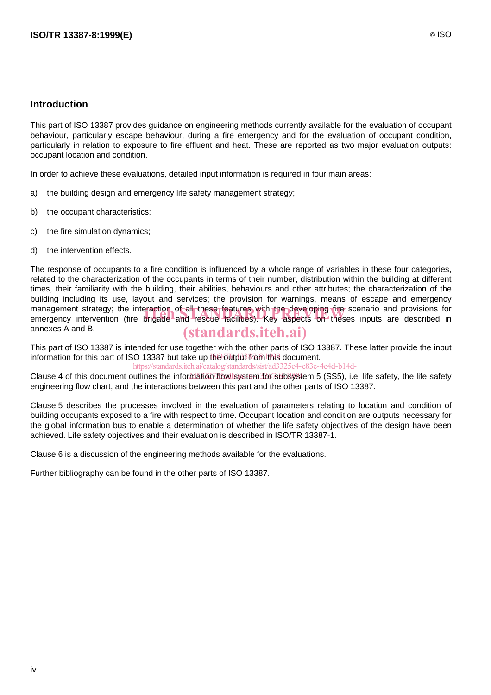# **Introduction**

This part of ISO 13387 provides guidance on engineering methods currently available for the evaluation of occupant behaviour, particularly escape behaviour, during a fire emergency and for the evaluation of occupant condition, particularly in relation to exposure to fire effluent and heat. These are reported as two major evaluation outputs: occupant location and condition.

In order to achieve these evaluations, detailed input information is required in four main areas:

- a) the building design and emergency life safety management strategy;
- b) the occupant characteristics;
- c) the fire simulation dynamics;
- d) the intervention effects.

The response of occupants to a fire condition is influenced by a whole range of variables in these four categories, related to the characterization of the occupants in terms of their number, distribution within the building at different times, their familiarity with the building, their abilities, behaviours and other attributes; the characterization of the building including its use, layout and services; the provision for warnings, means of escape and emergency management strategy; the interaction of all these features with the developing fire scenario and provisions for management strategy; the interaction of all these features with the developing fire scenario and provisions for<br>emergency intervention (fire brigade and rescue facilities). Key aspects on theses inputs are described in annexes A and B. (standards.iteh.ai)

This part of ISO 13387 is intended for use together with the other parts of ISO 13387. These latter provide the input information for this part of ISO 13387 but take up the output from this document.

https://standards.iteh.ai/catalog/standards/sist/ad3325c4-e83e-4e4d-b14d-

Clause 4 of this document outlines the information flow system for subsystem 5 (SS5), i.e. life safety, the life safety engineering flow chart, and the interactions between this part and the other parts of ISO 13387.

Clause 5 describes the processes involved in the evaluation of parameters relating to location and condition of building occupants exposed to a fire with respect to time. Occupant location and condition are outputs necessary for the global information bus to enable a determination of whether the life safety objectives of the design have been achieved. Life safety objectives and their evaluation is described in ISO/TR 13387-1.

Clause 6 is a discussion of the engineering methods available for the evaluations.

Further bibliography can be found in the other parts of ISO 13387.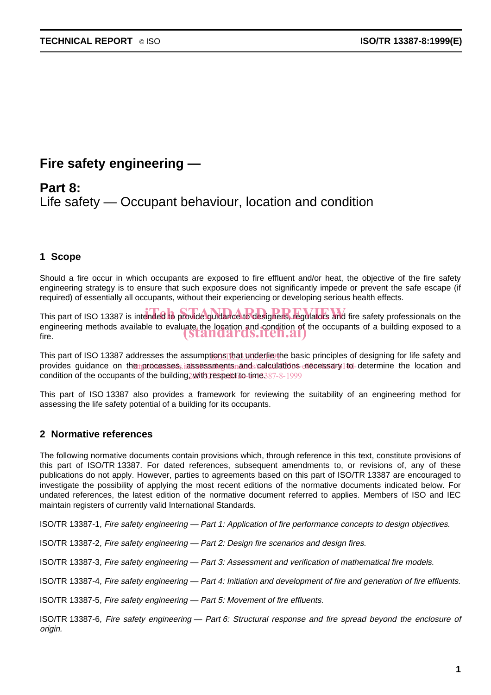# **Fire safety engineering —**

# **Part 8:** Life safety — Occupant behaviour, location and condition

# **1 Scope**

Should a fire occur in which occupants are exposed to fire effluent and/or heat, the objective of the fire safety engineering strategy is to ensure that such exposure does not significantly impede or prevent the safe escape (if required) of essentially all occupants, without their experiencing or developing serious health effects.

This part of ISO 13387 is intended to provide guidance to designers, regulators and fire safety professionals on the engineering methods available to evaluate the location and condition of the occupants of a building exposed to a<br>fire. fire.

This part of ISO 13387 addresses the assumptions that underlie the basic principles of designing for life safety and provides guidance on the processes, iassessments and calculations necessary to determine the location and condition of the occupants of the building with respect to-time 387-8-1999

This part of ISO 13387 also provides a framework for reviewing the suitability of an engineering method for assessing the life safety potential of a building for its occupants.

# **2 Normative references**

The following normative documents contain provisions which, through reference in this text, constitute provisions of this part of ISO/TR 13387. For dated references, subsequent amendments to, or revisions of, any of these publications do not apply. However, parties to agreements based on this part of ISO/TR 13387 are encouraged to investigate the possibility of applying the most recent editions of the normative documents indicated below. For undated references, the latest edition of the normative document referred to applies. Members of ISO and IEC maintain registers of currently valid International Standards.

ISO/TR 13387-1, Fire safety engineering — Part 1: Application of fire performance concepts to design objectives.

ISO/TR 13387-2, Fire safety engineering — Part 2: Design fire scenarios and design fires.

ISO/TR 13387-3, Fire safety engineering — Part 3: Assessment and verification of mathematical fire models.

ISO/TR 13387-4, Fire safety engineering — Part 4: Initiation and development of fire and generation of fire effluents.

ISO/TR 13387-5, Fire safety engineering — Part 5: Movement of fire effluents.

ISO/TR 13387-6, Fire safety engineering — Part 6: Structural response and fire spread beyond the enclosure of origin.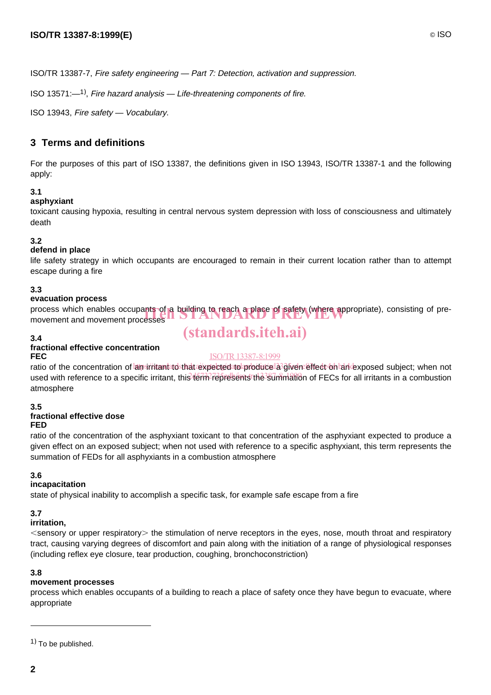ISO/TR 13387-7, Fire safety engineering — Part 7: Detection, activation and suppression.

ISO 13571: $-1$ <sup>1</sup>), Fire hazard analysis  $-$  Life-threatening components of fire.

ISO 13943, Fire safety — Vocabulary.

# **3 Terms and definitions**

For the purposes of this part of ISO 13387, the definitions given in ISO 13943, ISO/TR 13387-1 and the following apply:

#### **3.1**

#### **asphyxiant**

toxicant causing hypoxia, resulting in central nervous system depression with loss of consciousness and ultimately death

#### **3.2**

#### **defend in place**

life safety strategy in which occupants are encouraged to remain in their current location rather than to attempt escape during a fire

#### **3.3**

#### **evacuation process**

process which enables occupants of a building to reach a place of safety (where appropriate), consisting of pre-<br>movement and movement processes movement and movement processes

#### **3.4**

# **fractional effective concentration FEC**

# ISO/TR13387-8:1999

(standards.iteh.ai)

ratio of the concentration of amsirritantatosthat expectedato produce a3 given effect on an exposed subject; when not used with reference to a specific irritant, this temp represents the summation of FECs for all irritants in a combustion atmosphere

#### **3.5**

# **fractional effective dose**

# **FED**

ratio of the concentration of the asphyxiant toxicant to that concentration of the asphyxiant expected to produce a given effect on an exposed subject; when not used with reference to a specific asphyxiant, this term represents the summation of FEDs for all asphyxiants in a combustion atmosphere

#### **3.6**

#### **incapacitation**

state of physical inability to accomplish a specific task, for example safe escape from a fire

#### **3.7**

#### **irritation,**

 $\le$ sensory or upper respiratory $>$  the stimulation of nerve receptors in the eyes, nose, mouth throat and respiratory tract, causing varying degrees of discomfort and pain along with the initiation of a range of physiological responses (including reflex eye closure, tear production, coughing, bronchoconstriction)

#### **3.8**

#### **movement processes**

process which enables occupants of a building to reach a place of safety once they have begun to evacuate, where appropriate

 $(1)$  To be published.

 $\overline{a}$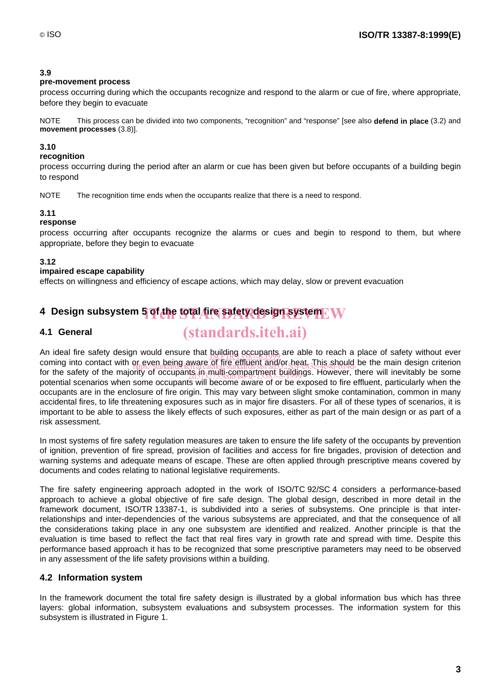# **3.9**

#### **pre-movement process**

process occurring during which the occupants recognize and respond to the alarm or cue of fire, where appropriate, before they begin to evacuate

NOTE This process can be divided into two components, "recognition" and "response" [see also **defend in place** (3.2) and **movement processes** (3.8)].

# **3.10**

### **recognition**

process occurring during the period after an alarm or cue has been given but before occupants of a building begin to respond

NOTE The recognition time ends when the occupants realize that there is a need to respond.

#### **3.11**

#### **response**

process occurring after occupants recognize the alarms or cues and begin to respond to them, but where appropriate, before they begin to evacuate

#### **3.12**

#### **impaired escape capability**

effects on willingness and efficiency of escape actions, which may delay, slow or prevent evacuation

# **4 Design subsystem 5 of the total fire safety design system** iTeh STANDARD PREVIEW

# **4.1 General**

# (standards.iteh.ai)

An ideal fire safety design would ensure that building occupants are able to reach a place of safety without ever<br>Isolate into sextest with as such heirs successive with a position has This should be the main design aritar coming into contact with or even being aware of fire effluent and/or heat. This should be the main design criterion<br>for the astaty of the mainlips://standards.iteh.av.catalog/standards/sist/ad332364-e83e-4e4d-b14d-thease.w for the safety of the majority of occupants in multi-compartment buildings. However, there will inevitably be some<br>2007 September 2008 2007 2007 12:3387-8-1999 2007 2007 2007 2007 2008 2017 2018 2019 2019 2019 2019 2019 20 potential scenarios when some occupants will become aware of or be exposed to fire effluent, particularly when the occupants are in the enclosure of fire origin. This may vary between slight smoke contamination, common in many accidental fires, to life threatening exposures such as in major fire disasters. For all of these types of scenarios, it is important to be able to assess the likely effects of such exposures, either as part of the main design or as part of a risk assessment.

In most systems of fire safety regulation measures are taken to ensure the life safety of the occupants by prevention of ignition, prevention of fire spread, provision of facilities and access for fire brigades, provision of detection and warning systems and adequate means of escape. These are often applied through prescriptive means covered by documents and codes relating to national legislative requirements.

The fire safety engineering approach adopted in the work of ISO/TC 92/SC 4 considers a performance-based approach to achieve a global objective of fire safe design. The global design, described in more detail in the framework document, ISO/TR 13387-1, is subdivided into a series of subsystems. One principle is that interrelationships and inter-dependencies of the various subsystems are appreciated, and that the consequence of all the considerations taking place in any one subsystem are identified and realized. Another principle is that the evaluation is time based to reflect the fact that real fires vary in growth rate and spread with time. Despite this performance based approach it has to be recognized that some prescriptive parameters may need to be observed in any assessment of the life safety provisions within a building.

# **4.2 Information system**

In the framework document the total fire safety design is illustrated by a global information bus which has three layers: global information, subsystem evaluations and subsystem processes. The information system for this subsystem is illustrated in Figure 1.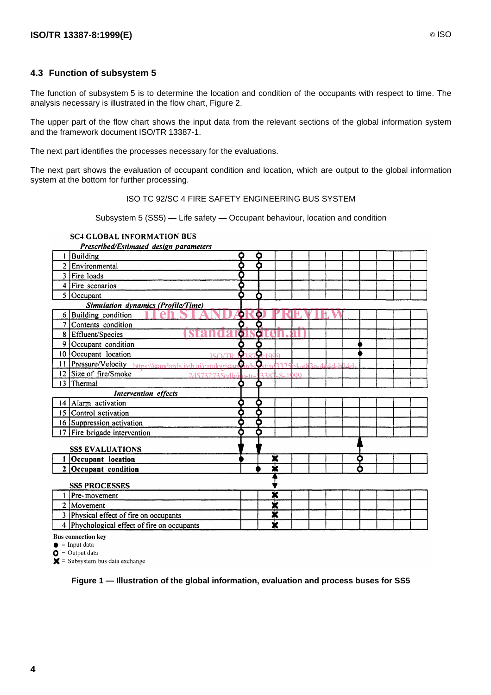## **4.3 Function of subsystem 5**

The function of subsystem 5 is to determine the location and condition of the occupants with respect to time. The analysis necessary is illustrated in the flow chart, Figure 2.

The upper part of the flow chart shows the input data from the relevant sections of the global information system and the framework document ISO/TR 13387-1.

The next part identifies the processes necessary for the evaluations.

The next part shows the evaluation of occupant condition and location, which are output to the global information system at the bottom for further processing.

#### ISO TC 92/SC 4 FIRE SAFETY ENGINEERING BUS SYSTEM

Subsystem 5 (SS5) — Life safety — Occupant behaviour, location and condition

#### **SC4 GLOBAL INFORMATION BUS**  $\mathbf{B}$  and  $\mathbf{B}$

|                 | Prescribed/Estimated design parameters                    |           |   |                         |          |  |      |   |  |  |
|-----------------|-----------------------------------------------------------|-----------|---|-------------------------|----------|--|------|---|--|--|
|                 | <b>Building</b>                                           | Q         | a |                         |          |  |      |   |  |  |
|                 | 2 Environmental                                           |           |   |                         |          |  |      |   |  |  |
|                 | 3   Fire loads                                            |           |   |                         |          |  |      |   |  |  |
|                 | $4$   Fire scenarios                                      | о         |   |                         |          |  |      |   |  |  |
| 5               | Occupant                                                  |           | Ω |                         |          |  |      |   |  |  |
|                 | <b>Simulation dynamics (Profile/Time)</b>                 |           |   |                         |          |  |      |   |  |  |
| 6               | <b>Building</b> condition                                 | ۰         | О |                         |          |  |      |   |  |  |
| 7               | Contents condition                                        |           | О |                         |          |  |      |   |  |  |
|                 | 8 Effluent/Species                                        | o         | a |                         |          |  |      |   |  |  |
| 9               | Occupant condition                                        |           |   |                         |          |  |      |   |  |  |
|                 | 10 Occupant location                                      | G         | G |                         |          |  |      |   |  |  |
| 11 <sub>1</sub> | Pressure/Velocity https://standards.iteh.ai/catalog/stan9 |           |   |                         |          |  | 1.1L |   |  |  |
|                 | 12 Size of fire/Smoke<br>2d5732735edb/is                  |           |   | 2287                    | $Q = 16$ |  |      |   |  |  |
| $\overline{13}$ | Thermal                                                   | О         | О |                         |          |  |      |   |  |  |
|                 | Intervention effects                                      |           |   |                         |          |  |      |   |  |  |
|                 | 14   Alarm activation                                     |           | о |                         |          |  |      |   |  |  |
|                 | 15 Control activation                                     |           | О |                         |          |  |      |   |  |  |
|                 | 16 Suppression activation                                 | $\bullet$ | О |                         |          |  |      |   |  |  |
|                 | 17   Fire brigade intervention                            |           |   |                         |          |  |      |   |  |  |
|                 | <b>SS5 EVALUATIONS</b>                                    |           |   |                         |          |  |      |   |  |  |
|                 | Occupant location                                         |           |   | ₮                       |          |  |      | О |  |  |
| $\mathbf{2}$    | Occupant condition                                        |           |   | ₮                       |          |  |      |   |  |  |
|                 | <b>SS5 PROCESSES</b>                                      |           |   |                         |          |  |      |   |  |  |
|                 | Pre-movement                                              |           |   | ₮                       |          |  |      |   |  |  |
| 2               | Movement                                                  |           |   | ¥                       |          |  |      |   |  |  |
| 3               | Physical effect of fire on occupants                      |           |   | ✖                       |          |  |      |   |  |  |
| 4               | Phychological effect of fire on occupants                 |           |   | $\overline{\textbf{x}}$ |          |  |      |   |  |  |

**Bus** connection key

 $\bullet$  = Input data

 $\bullet$  = Output data

 $\mathsf{X}$  = Subsystem bus data exchange

**Figure 1 — Illustration of the global information, evaluation and process buses for SS5**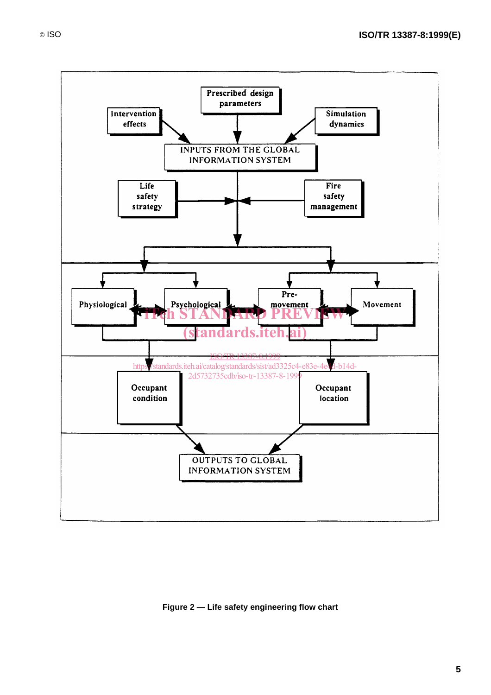

#### **Figure 2 — Life safety engineering flow chart**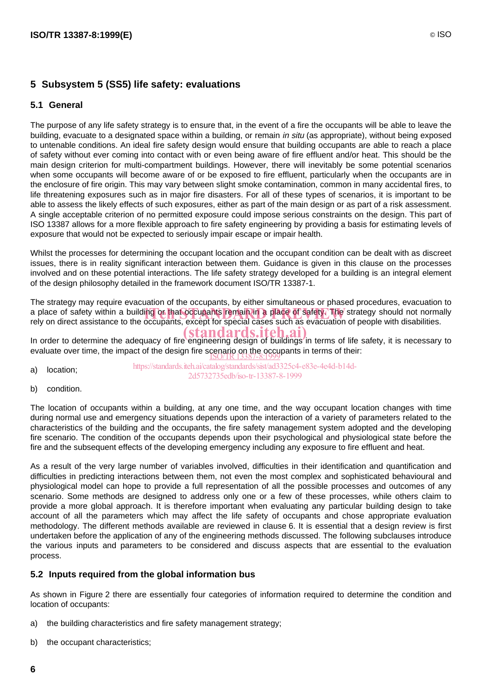# **5 Subsystem 5 (SS5) life safety: evaluations**

#### **5.1 General**

The purpose of any life safety strategy is to ensure that, in the event of a fire the occupants will be able to leave the building, evacuate to a designated space within a building, or remain in situ (as appropriate), without being exposed to untenable conditions. An ideal fire safety design would ensure that building occupants are able to reach a place of safety without ever coming into contact with or even being aware of fire effluent and/or heat. This should be the main design criterion for multi-compartment buildings. However, there will inevitably be some potential scenarios when some occupants will become aware of or be exposed to fire effluent, particularly when the occupants are in the enclosure of fire origin. This may vary between slight smoke contamination, common in many accidental fires, to life threatening exposures such as in major fire disasters. For all of these types of scenarios, it is important to be able to assess the likely effects of such exposures, either as part of the main design or as part of a risk assessment. A single acceptable criterion of no permitted exposure could impose serious constraints on the design. This part of ISO 13387 allows for a more flexible approach to fire safety engineering by providing a basis for estimating levels of exposure that would not be expected to seriously impair escape or impair health.

Whilst the processes for determining the occupant location and the occupant condition can be dealt with as discreet issues, there is in reality significant interaction between them. Guidance is given in this clause on the processes involved and on these potential interactions. The life safety strategy developed for a building is an integral element of the design philosophy detailed in the framework document ISO/TR 13387-1.

The strategy may require evacuation of the occupants, by either simultaneous or phased procedures, evacuation to a place of safety within a building or that occupants remain in a place of safety. The strategy should not normally<br>rely on direct assistance to the occupants, except for special cases such as evacuation of people with dis rely on direct assistance to the occupants, except for special cases such as evacuation of people with disabilities.

In order to determine the adequacy of fire engineering design of buildings in terms of life safety, it is necessary to evaluate over time, the impact of the design fire scenario on the occupants in terms of their:<br>
SO/TR 13387-8:1999

- a) location; https://standards.iteh.ai/catalog/standards/sist/ad3325c4-e83e-4e4d-b14d-2d5732735edb/iso-tr-13387-8-1999
- b) condition.

The location of occupants within a building, at any one time, and the way occupant location changes with time during normal use and emergency situations depends upon the interaction of a variety of parameters related to the characteristics of the building and the occupants, the fire safety management system adopted and the developing fire scenario. The condition of the occupants depends upon their psychological and physiological state before the fire and the subsequent effects of the developing emergency including any exposure to fire effluent and heat.

As a result of the very large number of variables involved, difficulties in their identification and quantification and difficulties in predicting interactions between them, not even the most complex and sophisticated behavioural and physiological model can hope to provide a full representation of all the possible processes and outcomes of any scenario. Some methods are designed to address only one or a few of these processes, while others claim to provide a more global approach. It is therefore important when evaluating any particular building design to take account of all the parameters which may affect the life safety of occupants and chose appropriate evaluation methodology. The different methods available are reviewed in clause 6. It is essential that a design review is first undertaken before the application of any of the engineering methods discussed. The following subclauses introduce the various inputs and parameters to be considered and discuss aspects that are essential to the evaluation process.

#### **5.2 Inputs required from the global information bus**

As shown in Figure 2 there are essentially four categories of information required to determine the condition and location of occupants:

- a) the building characteristics and fire safety management strategy;
- b) the occupant characteristics;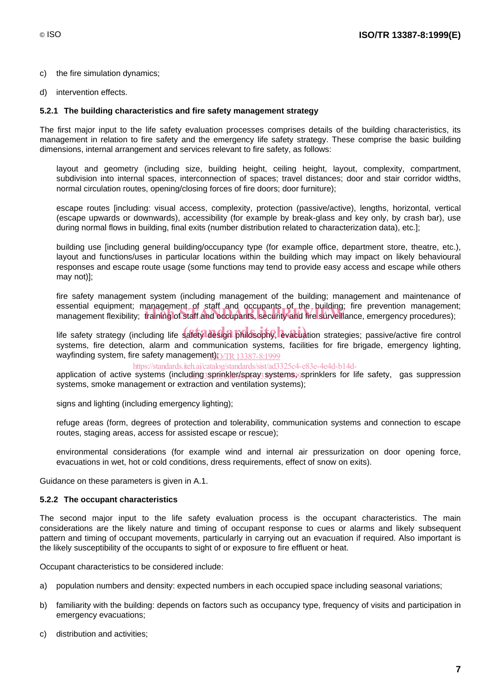- c) the fire simulation dynamics;
- d) intervention effects.

#### **5.2.1 The building characteristics and fire safety management strategy**

The first major input to the life safety evaluation processes comprises details of the building characteristics, its management in relation to fire safety and the emergency life safety strategy. These comprise the basic building dimensions, internal arrangement and services relevant to fire safety, as follows:

- layout and geometry (including size, building height, ceiling height, layout, complexity, compartment, subdivision into internal spaces, interconnection of spaces; travel distances; door and stair corridor widths, normal circulation routes, opening/closing forces of fire doors; door furniture);
- escape routes [including: visual access, complexity, protection (passive/active), lengths, horizontal, vertical (escape upwards or downwards), accessibility (for example by break-glass and key only, by crash bar), use during normal flows in building, final exits (number distribution related to characterization data), etc.];
- building use [including general building/occupancy type (for example office, department store, theatre, etc.), layout and functions/uses in particular locations within the building which may impact on likely behavioural responses and escape route usage (some functions may tend to provide easy access and escape while others may not)];
- fire safety management system (including management of the building; management and maintenance of essential equipment; management of staff and occupants of the building; fire prevention management; essential equipment, management of staff and occupants of the building, fire prevention management<br>management flexibility; training of staff and occupants, security and fire surveillance, emergency procedures);
- life safety strategy (including life safety design philosophy, evacuation strategies; passive/active fire control systems, fire detection, alarm and communication systems, facilities for fire brigade, emergency lighting, wayfinding system, fire safety managemen<u>t)O/TR 13387-8:1999</u>

https://standards.iteh.ai/catalog/standards/sist/ad3325c4-e83e-4e4d-b14d-

- application of active systems (including sprinkler/spray systems) sprinklers for life safety, gas suppression systems, smoke management or extraction and ventilation systems);
- signs and lighting (including emergency lighting);
- refuge areas (form, degrees of protection and tolerability, communication systems and connection to escape routes, staging areas, access for assisted escape or rescue);
- environmental considerations (for example wind and internal air pressurization on door opening force, evacuations in wet, hot or cold conditions, dress requirements, effect of snow on exits).

Guidance on these parameters is given in A.1.

#### **5.2.2 The occupant characteristics**

The second major input to the life safety evaluation process is the occupant characteristics. The main considerations are the likely nature and timing of occupant response to cues or alarms and likely subsequent pattern and timing of occupant movements, particularly in carrying out an evacuation if required. Also important is the likely susceptibility of the occupants to sight of or exposure to fire effluent or heat.

Occupant characteristics to be considered include:

- a) population numbers and density: expected numbers in each occupied space including seasonal variations;
- b) familiarity with the building: depends on factors such as occupancy type, frequency of visits and participation in emergency evacuations;
- c) distribution and activities;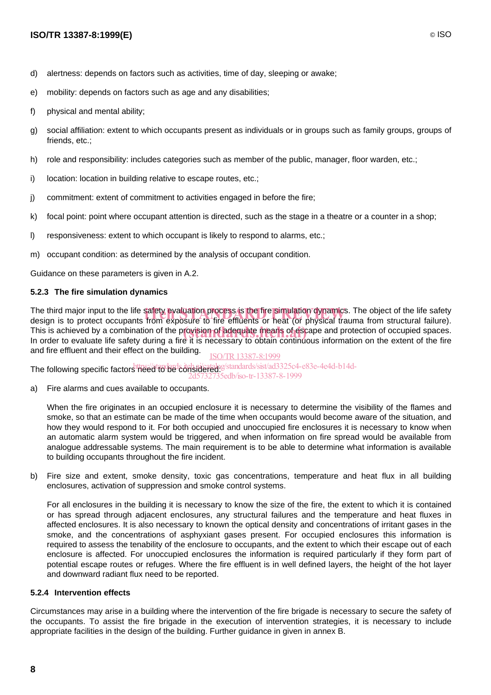- d) alertness: depends on factors such as activities, time of day, sleeping or awake;
- e) mobility: depends on factors such as age and any disabilities;
- f) physical and mental ability;
- g) social affiliation: extent to which occupants present as individuals or in groups such as family groups, groups of friends, etc.;
- h) role and responsibility: includes categories such as member of the public, manager, floor warden, etc.;
- i) location: location in building relative to escape routes, etc.;
- j) commitment: extent of commitment to activities engaged in before the fire;
- k) focal point: point where occupant attention is directed, such as the stage in a theatre or a counter in a shop;
- l) responsiveness: extent to which occupant is likely to respond to alarms, etc.;
- m) occupant condition: as determined by the analysis of occupant condition.

Guidance on these parameters is given in A.2.

#### **5.2.3 The fire simulation dynamics**

The third major input to the life safety evaluation process is the fire simulation dynamics. The object of the life safety<br>design is to protect occupants from exposure to fire effluents or heat (or physical trauma from str design is to protect occupants from exposure to fire effluents or heat (or physical trauma from structural failure). This is achieved by a combination of the provision of adequate means of escape and protection of occupied spaces.<br>In order to evaluate life safety during a fire it is necessary to obtain continuous information on the exten In order to evaluate life safety during a fire it is necessary to obtain continuous information on the extent of the fire and fire effluent and their effect on the building. ISO/TR13387-8:1999

The following specific factorshtps://standards.jteh.ni/catalog/standards/sist/ad3325c4-e83e-4e4d-b14d-

a) Fire alarms and cues available to occupants. 2d5732735edb/iso-tr-13387-8-1999

 When the fire originates in an occupied enclosure it is necessary to determine the visibility of the flames and smoke, so that an estimate can be made of the time when occupants would become aware of the situation, and how they would respond to it. For both occupied and unoccupied fire enclosures it is necessary to know when an automatic alarm system would be triggered, and when information on fire spread would be available from analogue addressable systems. The main requirement is to be able to determine what information is available to building occupants throughout the fire incident.

b) Fire size and extent, smoke density, toxic gas concentrations, temperature and heat flux in all building enclosures, activation of suppression and smoke control systems.

 For all enclosures in the building it is necessary to know the size of the fire, the extent to which it is contained or has spread through adjacent enclosures, any structural failures and the temperature and heat fluxes in affected enclosures. It is also necessary to known the optical density and concentrations of irritant gases in the smoke, and the concentrations of asphyxiant gases present. For occupied enclosures this information is required to assess the tenability of the enclosure to occupants, and the extent to which their escape out of each enclosure is affected. For unoccupied enclosures the information is required particularly if they form part of potential escape routes or refuges. Where the fire effluent is in well defined layers, the height of the hot layer and downward radiant flux need to be reported.

#### **5.2.4 Intervention effects**

Circumstances may arise in a building where the intervention of the fire brigade is necessary to secure the safety of the occupants. To assist the fire brigade in the execution of intervention strategies, it is necessary to include appropriate facilities in the design of the building. Further guidance in given in annex B.